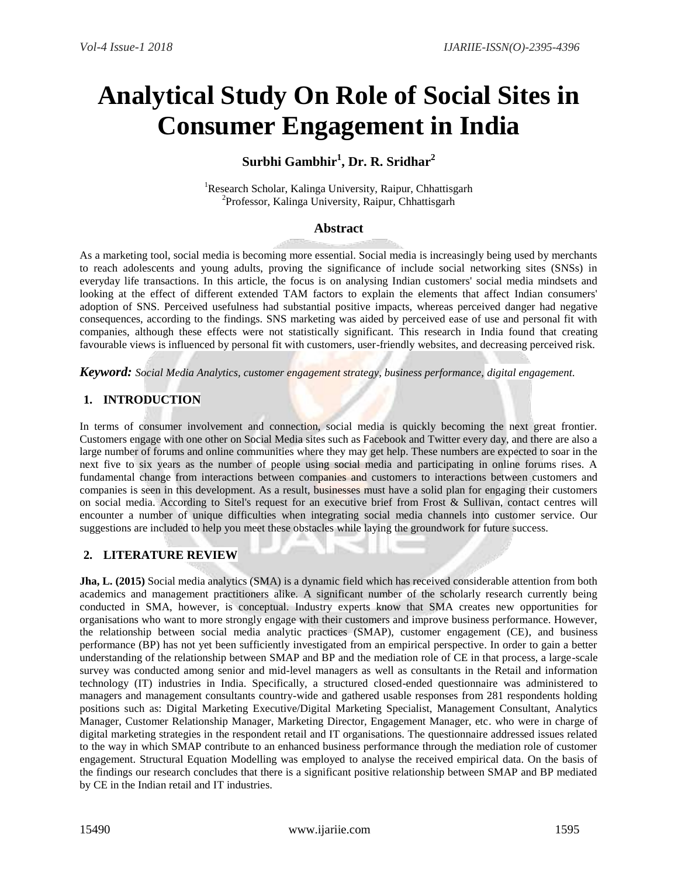# **Analytical Study On Role of Social Sites in Consumer Engagement in India**

# **Surbhi Gambhir<sup>1</sup> , Dr. R. Sridhar<sup>2</sup>**

<sup>1</sup>Research Scholar, Kalinga University, Raipur, Chhattisgarh 2 Professor, Kalinga University, Raipur, Chhattisgarh

# **Abstract**

As a marketing tool, social media is becoming more essential. Social media is increasingly being used by merchants to reach adolescents and young adults, proving the significance of include social networking sites (SNSs) in everyday life transactions. In this article, the focus is on analysing Indian customers' social media mindsets and looking at the effect of different extended TAM factors to explain the elements that affect Indian consumers' adoption of SNS. Perceived usefulness had substantial positive impacts, whereas perceived danger had negative consequences, according to the findings. SNS marketing was aided by perceived ease of use and personal fit with companies, although these effects were not statistically significant. This research in India found that creating favourable views is influenced by personal fit with customers, user-friendly websites, and decreasing perceived risk.

*Keyword: Social Media Analytics, customer engagement strategy, business performance, digital engagement.*

# **1. INTRODUCTION**

In terms of consumer involvement and connection, social media is quickly becoming the next great frontier. Customers engage with one other on Social Media sites such as Facebook and Twitter every day, and there are also a large number of forums and online communities where they may get help. These numbers are expected to soar in the next five to six years as the number of people using social media and participating in online forums rises. A fundamental change from interactions between companies and customers to interactions between customers and companies is seen in this development. As a result, businesses must have a solid plan for engaging their customers on social media. According to Sitel's request for an executive brief from Frost & Sullivan, contact centres will encounter a number of unique difficulties when integrating social media channels into customer service. Our suggestions are included to help you meet these obstacles while laying the groundwork for future success.

#### **2. LITERATURE REVIEW**

**Jha, L. (2015)** Social media analytics (SMA) is a dynamic field which has received considerable attention from both academics and management practitioners alike. A significant number of the scholarly research currently being conducted in SMA, however, is conceptual. Industry experts know that SMA creates new opportunities for organisations who want to more strongly engage with their customers and improve business performance. However, the relationship between social media analytic practices (SMAP), customer engagement (CE), and business performance (BP) has not yet been sufficiently investigated from an empirical perspective. In order to gain a better understanding of the relationship between SMAP and BP and the mediation role of CE in that process, a large-scale survey was conducted among senior and mid-level managers as well as consultants in the Retail and information technology (IT) industries in India. Specifically, a structured closed-ended questionnaire was administered to managers and management consultants country-wide and gathered usable responses from 281 respondents holding positions such as: Digital Marketing Executive/Digital Marketing Specialist, Management Consultant, Analytics Manager, Customer Relationship Manager, Marketing Director, Engagement Manager, etc. who were in charge of digital marketing strategies in the respondent retail and IT organisations. The questionnaire addressed issues related to the way in which SMAP contribute to an enhanced business performance through the mediation role of customer engagement. Structural Equation Modelling was employed to analyse the received empirical data. On the basis of the findings our research concludes that there is a significant positive relationship between SMAP and BP mediated by CE in the Indian retail and IT industries.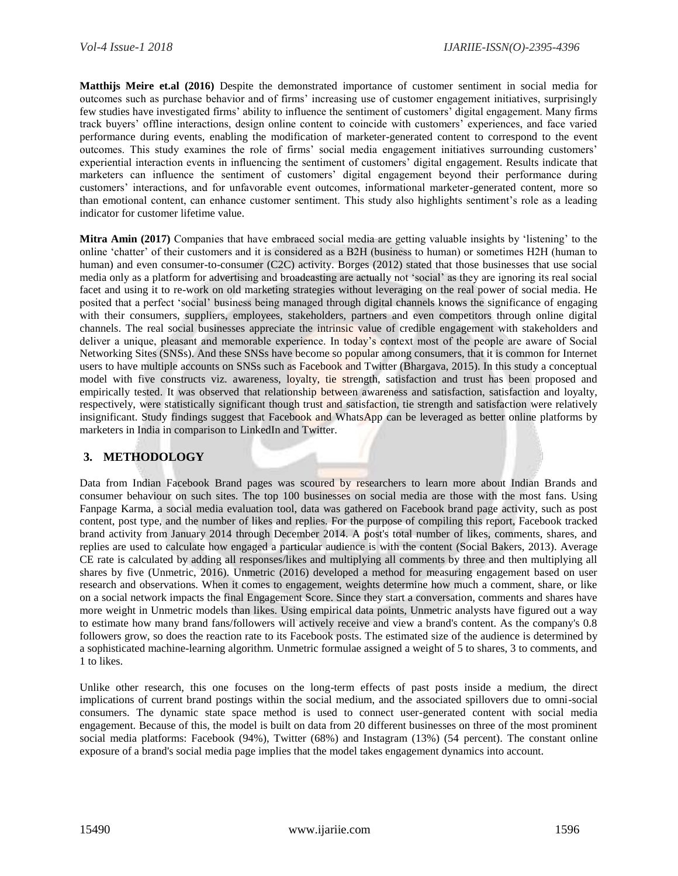**Matthijs Meire et.al (2016)** Despite the demonstrated importance of customer sentiment in social media for outcomes such as purchase behavior and of firms' increasing use of customer engagement initiatives, surprisingly few studies have investigated firms' ability to influence the sentiment of customers' digital engagement. Many firms track buyers' offline interactions, design online content to coincide with customers' experiences, and face varied performance during events, enabling the modification of marketer-generated content to correspond to the event outcomes. This study examines the role of firms' social media engagement initiatives surrounding customers' experiential interaction events in influencing the sentiment of customers' digital engagement. Results indicate that marketers can influence the sentiment of customers' digital engagement beyond their performance during customers' interactions, and for unfavorable event outcomes, informational marketer-generated content, more so than emotional content, can enhance customer sentiment. This study also highlights sentiment's role as a leading indicator for customer lifetime value.

**Mitra Amin (2017)** Companies that have embraced social media are getting valuable insights by 'listening' to the online 'chatter' of their customers and it is considered as a B2H (business to human) or sometimes H2H (human to human) and even consumer-to-consumer (C2C) activity. Borges (2012) stated that those businesses that use social media only as a platform for advertising and broadcasting are actually not 'social' as they are ignoring its real social facet and using it to re-work on old marketing strategies without leveraging on the real power of social media. He posited that a perfect 'social' business being managed through digital channels knows the significance of engaging with their consumers, suppliers, employees, stakeholders, partners and even competitors through online digital channels. The real social businesses appreciate the intrinsic value of credible engagement with stakeholders and deliver a unique, pleasant and memorable experience. In today's context most of the people are aware of Social Networking Sites (SNSs). And these SNSs have become so popular among consumers, that it is common for Internet users to have multiple accounts on SNSs such as Facebook and Twitter (Bhargava, 2015). In this study a conceptual model with five constructs viz. awareness, loyalty, tie strength, satisfaction and trust has been proposed and empirically tested. It was observed that relationship between awareness and satisfaction, satisfaction and loyalty, respectively, were statistically significant though trust and satisfaction, tie strength and satisfaction were relatively insignificant. Study findings suggest that Facebook and WhatsApp can be leveraged as better online platforms by marketers in India in comparison to LinkedIn and Twitter.

# **3. METHODOLOGY**

Data from Indian Facebook Brand pages was scoured by researchers to learn more about Indian Brands and consumer behaviour on such sites. The top 100 businesses on social media are those with the most fans. Using Fanpage Karma, a social media evaluation tool, data was gathered on Facebook brand page activity, such as post content, post type, and the number of likes and replies. For the purpose of compiling this report, Facebook tracked brand activity from January 2014 through December 2014. A post's total number of likes, comments, shares, and replies are used to calculate how engaged a particular audience is with the content (Social Bakers, 2013). Average CE rate is calculated by adding all responses/likes and multiplying all comments by three and then multiplying all shares by five (Unmetric, 2016). Unmetric (2016) developed a method for measuring engagement based on user research and observations. When it comes to engagement, weights determine how much a comment, share, or like on a social network impacts the final Engagement Score. Since they start a conversation, comments and shares have more weight in Unmetric models than likes. Using empirical data points, Unmetric analysts have figured out a way to estimate how many brand fans/followers will actively receive and view a brand's content. As the company's 0.8 followers grow, so does the reaction rate to its Facebook posts. The estimated size of the audience is determined by a sophisticated machine-learning algorithm. Unmetric formulae assigned a weight of 5 to shares, 3 to comments, and 1 to likes.

Unlike other research, this one focuses on the long-term effects of past posts inside a medium, the direct implications of current brand postings within the social medium, and the associated spillovers due to omni-social consumers. The dynamic state space method is used to connect user-generated content with social media engagement. Because of this, the model is built on data from 20 different businesses on three of the most prominent social media platforms: Facebook (94%), Twitter (68%) and Instagram (13%) (54 percent). The constant online exposure of a brand's social media page implies that the model takes engagement dynamics into account.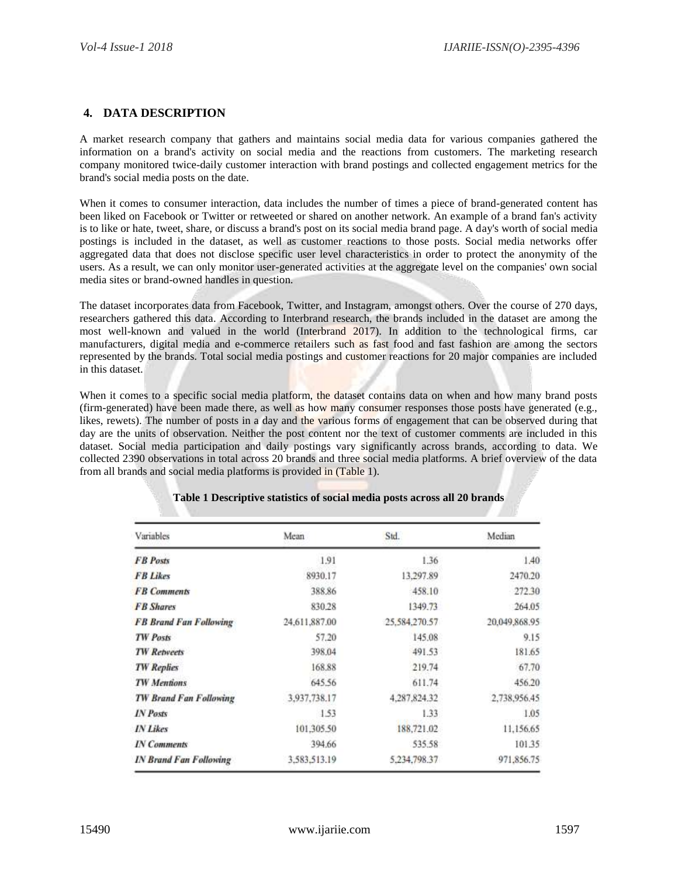### **4. DATA DESCRIPTION**

A market research company that gathers and maintains social media data for various companies gathered the information on a brand's activity on social media and the reactions from customers. The marketing research company monitored twice-daily customer interaction with brand postings and collected engagement metrics for the brand's social media posts on the date.

When it comes to consumer interaction, data includes the number of times a piece of brand-generated content has been liked on Facebook or Twitter or retweeted or shared on another network. An example of a brand fan's activity is to like or hate, tweet, share, or discuss a brand's post on its social media brand page. A day's worth of social media postings is included in the dataset, as well as customer reactions to those posts. Social media networks offer aggregated data that does not disclose specific user level characteristics in order to protect the anonymity of the users. As a result, we can only monitor user-generated activities at the aggregate level on the companies' own social media sites or brand-owned handles in question.

The dataset incorporates data from Facebook, Twitter, and Instagram, amongst others. Over the course of 270 days, researchers gathered this data. According to Interbrand research, the brands included in the dataset are among the most well-known and valued in the world (Interbrand 2017). In addition to the technological firms, car manufacturers, digital media and e-commerce retailers such as fast food and fast fashion are among the sectors represented by the brands. Total social media postings and customer reactions for 20 major companies are included in this dataset.

When it comes to a specific social media platform, the dataset contains data on when and how many brand posts (firm-generated) have been made there, as well as how many consumer responses those posts have generated (e.g., likes, rewets). The number of posts in a day and the various forms of engagement that can be observed during that day are the units of observation. Neither the post content nor the text of customer comments are included in this dataset. Social media participation and daily postings vary significantly across brands, according to data. We collected 2390 observations in total across 20 brands and three social media platforms. A brief overview of the data from all brands and social media platforms is provided in (Table 1).

| Variables                     | Mean          | Std.          | Median        |
|-------------------------------|---------------|---------------|---------------|
| <b>FB</b> Posts               | 1.91          | 1.36          | 1.40          |
| <b>FB Likes</b>               | 8930.17       | 13,297.89     | 2470.20       |
| <b>FB</b> Comments            | 388.86        | 458.10        | 272.30        |
| <b>FB</b> Shares              | 830.28        | 1349.73       | 264.05        |
| <b>FB Brand Fan Following</b> | 24,611,887.00 | 25,584,270.57 | 20.049,868.95 |
| <b>TW Posts</b>               | 57.20         | 145.08        | 9.15          |
| <b>TW Retweets</b>            | 398.04        | 491.53        | 181.65        |
| <b>TW Replies</b>             | 168.88        | 219.74        | 67.70         |
| <b>TW Mentions</b>            | 645.56        | 611.74        | 456.20        |
| <b>TW Brand Fan Following</b> | 3,937,738.17  | 4,287,824.32  | 2,738,956.45  |
| <b>IN Posts</b>               | 1.53          | 1.33          | 1.05          |
| <b>IN Likes</b>               | 101,305.50    | 188,721.02    | 11,156.65     |
| <b>IN Comments</b>            | 394.66        | 535.58        | 101.35        |
| <b>IN Brand Fan Following</b> | 3,583,513.19  | 5.234.798.37  | 971,856.75    |

#### **Table 1 Descriptive statistics of social media posts across all 20 brands**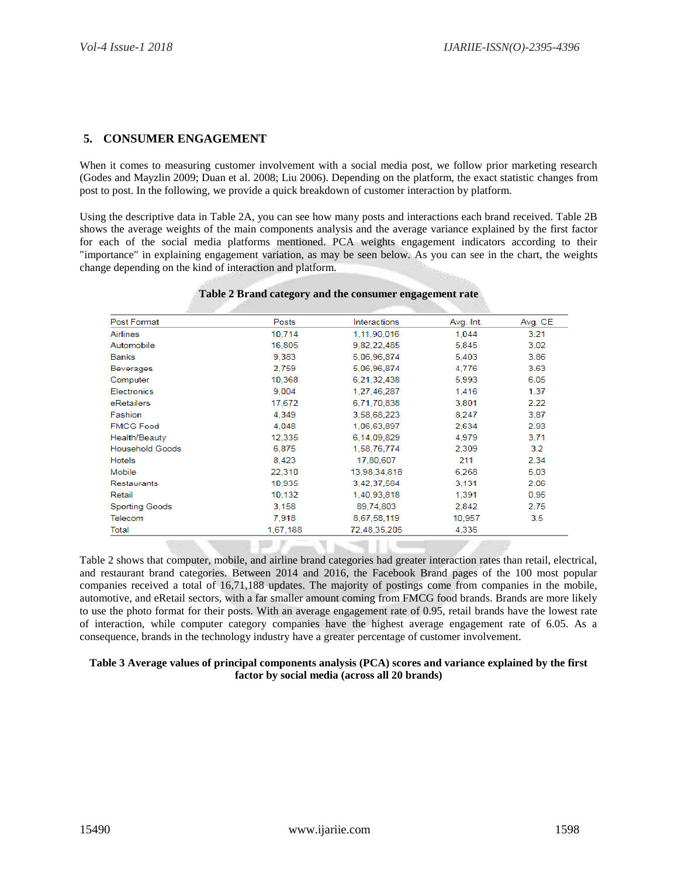#### **5. CONSUMER ENGAGEMENT**

When it comes to measuring customer involvement with a social media post, we follow prior marketing research (Godes and Mayzlin 2009; Duan et al. 2008; Liu 2006). Depending on the platform, the exact statistic changes from post to post. In the following, we provide a quick breakdown of customer interaction by platform.

Using the descriptive data in Table 2A, you can see how many posts and interactions each brand received. Table 2B shows the average weights of the main components analysis and the average variance explained by the first factor for each of the social media platforms mentioned. PCA weights engagement indicators according to their "importance" in explaining engagement variation, as may be seen below. As you can see in the chart, the weights change depending on the kind of interaction and platform.

| <b>Post Format</b>     | Posts    | Interactions | Avg. Int. | Avg. CE       |
|------------------------|----------|--------------|-----------|---------------|
| Airlines               | 10,714   | 1,11,90,016  | 1.044     | 3.21          |
| Automobile             | 16,805   | 9,82,22,485  | 5,845     | 3.02          |
| Banks                  | 9.383    | 5,06,96,874  | 5,403     | 3.86          |
| <b>Beverages</b>       | 2.759    | 5.06.96.874  | 4,776     | 3.63          |
| Computer               | 10,368   | 6,21,32,438  | 5,993     | 6.05          |
| Electronics            | 9.004    | 1,27,46,287  | 1,416     | 1.37          |
| eRetailers             | 17,672   | 6,71,70,838  | 3,801     | 2.22          |
| Fashion                | 4,349    | 3,58,68,223  | 8,247     | 3.87          |
| <b>FMCG Food</b>       | 4,048    | 1,06,63,897  | 2,634     | 2.93          |
| Health/Beauty          | 12,335   | 6,14,09,829  | 4.979     | 3.71          |
| <b>Household Goods</b> | 6,875    | 1,58,76,774  | 2,309     | 3.2           |
| <b>Hotels</b>          | 8,423    | 17,80,607    | 211       | 2.34          |
| Mobile                 | 22,310   | 13,98,34,818 | 6,268     | 5.03          |
| Restaurants            | 10,935   | 3,42,37,584  | 3,131     | 2.06          |
| Retail                 | 10,132   | 1,40,93,818  | 1,391     | 0.95          |
| <b>Sporting Goods</b>  | 3,158    | 89,74,803    | 2,842     | 2.75          |
| Telecom                | 7,918    | 8,67,58,119  | 10,957    | $3.5^{\circ}$ |
| Total                  | 1,67,188 | 72,48,35,205 | 4,335     |               |

Table 2 shows that computer, mobile, and airline brand categories had greater interaction rates than retail, electrical, and restaurant brand categories. Between 2014 and 2016, the Facebook Brand pages of the 100 most popular companies received a total of 16,71,188 updates. The majority of postings come from companies in the mobile, automotive, and eRetail sectors, with a far smaller amount coming from FMCG food brands. Brands are more likely to use the photo format for their posts. With an average engagement rate of 0.95, retail brands have the lowest rate of interaction, while computer category companies have the highest average engagement rate of 6.05. As a consequence, brands in the technology industry have a greater percentage of customer involvement.

#### **Table 3 Average values of principal components analysis (PCA) scores and variance explained by the first factor by social media (across all 20 brands)**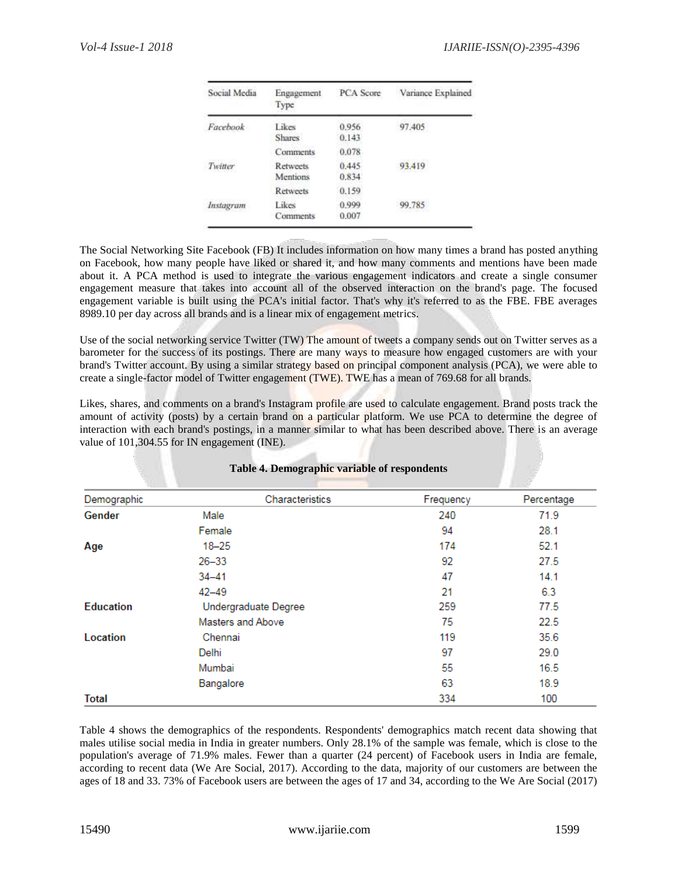| Social Media     | Engagement<br>Type          | PCA Score      | Variance Explained |
|------------------|-----------------------------|----------------|--------------------|
| Facebook         | Likes<br><b>Shares</b>      | 0.956<br>0.143 | 97.405             |
|                  | Comments                    | 0.078          |                    |
| Twitter          | <b>Retweets</b><br>Mentions | 0.445<br>0.834 | 93.419             |
|                  | Retweets                    | 0.159          |                    |
| <i>Instagram</i> | Likes<br>Comments           | 0.999<br>0.007 | 99.785             |

The Social Networking Site Facebook (FB) It includes information on how many times a brand has posted anything on Facebook, how many people have liked or shared it, and how many comments and mentions have been made about it. A PCA method is used to integrate the various engagement indicators and create a single consumer engagement measure that takes into account all of the observed interaction on the brand's page. The focused engagement variable is built using the PCA's initial factor. That's why it's referred to as the FBE. FBE averages 8989.10 per day across all brands and is a linear mix of engagement metrics.

Use of the social networking service Twitter (TW) The amount of tweets a company sends out on Twitter serves as a barometer for the success of its postings. There are many ways to measure how engaged customers are with your brand's Twitter account. By using a similar strategy based on principal component analysis (PCA), we were able to create a single-factor model of Twitter engagement (TWE). TWE has a mean of 769.68 for all brands.

Likes, shares, and comments on a brand's Instagram profile are used to calculate engagement. Brand posts track the amount of activity (posts) by a certain brand on a particular platform. We use PCA to determine the degree of interaction with each brand's postings, in a manner similar to what has been described above. There is an average value of 101,304.55 for IN engagement (INE).

**Table 4. Demographic variable of respondents**

| Demographic      | Characteristics      | Frequency | Percentage |
|------------------|----------------------|-----------|------------|
| Gender           | Male                 | 240       | 71.9       |
|                  | Female               | 94        | 28.1       |
| Age              | $18 - 25$            | 174       | 52.1       |
|                  | $26 - 33$            | 92        | 27.5       |
|                  | $34 - 41$            | 47        | 14.1       |
|                  | $42 - 49$            | 21        | 6.3        |
| <b>Education</b> | Undergraduate Degree | 259       | 77.5       |
|                  | Masters and Above    | 75        | 22.5       |
| Location         | Chennai              | 119       | 35.6       |
|                  | Delhi                | 97        | 29.0       |
|                  | Mumbai               | 55        | 16.5       |
|                  | Bangalore            | 63        | 18.9       |
| Total            |                      | 334       | 100        |

Table 4 shows the demographics of the respondents. Respondents' demographics match recent data showing that males utilise social media in India in greater numbers. Only 28.1% of the sample was female, which is close to the population's average of 71.9% males. Fewer than a quarter (24 percent) of Facebook users in India are female, according to recent data (We Are Social, 2017). According to the data, majority of our customers are between the ages of 18 and 33. 73% of Facebook users are between the ages of 17 and 34, according to the We Are Social (2017)